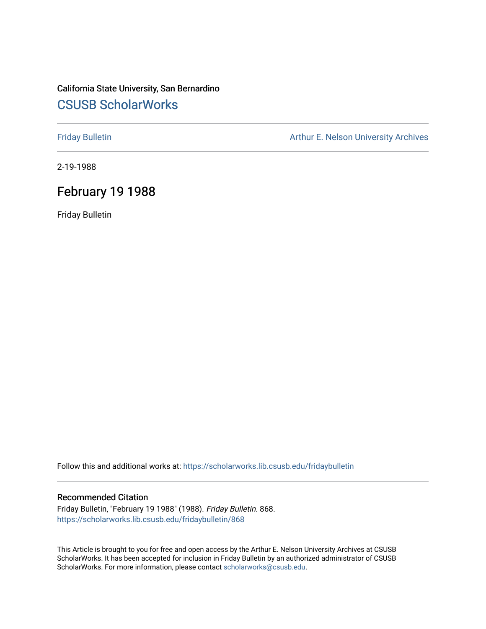### California State University, San Bernardino [CSUSB ScholarWorks](https://scholarworks.lib.csusb.edu/)

[Friday Bulletin](https://scholarworks.lib.csusb.edu/fridaybulletin) **Arthur E. Nelson University Archives** Arthur E. Nelson University Archives

2-19-1988

### February 19 1988

Friday Bulletin

Follow this and additional works at: [https://scholarworks.lib.csusb.edu/fridaybulletin](https://scholarworks.lib.csusb.edu/fridaybulletin?utm_source=scholarworks.lib.csusb.edu%2Ffridaybulletin%2F868&utm_medium=PDF&utm_campaign=PDFCoverPages)

### Recommended Citation

Friday Bulletin, "February 19 1988" (1988). Friday Bulletin. 868. [https://scholarworks.lib.csusb.edu/fridaybulletin/868](https://scholarworks.lib.csusb.edu/fridaybulletin/868?utm_source=scholarworks.lib.csusb.edu%2Ffridaybulletin%2F868&utm_medium=PDF&utm_campaign=PDFCoverPages)

This Article is brought to you for free and open access by the Arthur E. Nelson University Archives at CSUSB ScholarWorks. It has been accepted for inclusion in Friday Bulletin by an authorized administrator of CSUSB ScholarWorks. For more information, please contact [scholarworks@csusb.edu.](mailto:scholarworks@csusb.edu)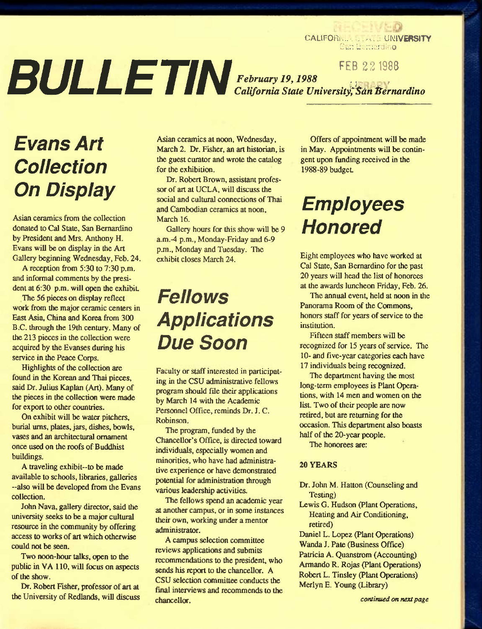CALIFORMUS ...... UNIVERSITY Su:: Lu:::erdin**o** 

**BULLETIN FEB 22 1988** *February 19,1988 ., ^ , California State University^^dnl^ernardino* 

# *Evans Art Collection On Display*

Asian ceramics from the collection donated to Cal State, San Bernardino by President and Mrs. Anthony H. Evans will be on display in the Art Gallery beginning Wednesday, Feb. 24.

A reception from 5:30 to 7:30 p.m. and informal comments by the president at 6:30 p.m. will open the exhibit.

The 56 pieces on display reflect work from the major ceramic centers in East Asia, China and Korea from 300 B.C. through the 19th century. Many of the 213 pieces in the collection were acquired by the Evanses during his service in the Peace Corps.

Highlights of the collection are found in the Korean and Thai pieces, said Dr. Julius Kaplan (Art). Many of the pieces in the collection were made for export to other countries.

On exhibit will be water pitchers, burial urns, plates, jars, dishes, bowls, vases and an architectural ornament once used on the roofs of Buddhist buildings.

A traveling exhibit-to be made available to schools, libraries, galleries -also will be developed from the Evans collection.

John Nava, gallery director, said the university seeks to be a major cultural resource in the community by offering access to works of art which otherwise could not be seen.

Two noon-hour talks, open to the public in VA 110, will focus on aspects of the show.

Dr. Robert Fisher, professor of art at the University of Redlands. will discuss

Asian ceramics at noon, Wednesday, March 2. Dr. Fisher, an art historian, is the guest curator and wrote the catalog for the exhibition.

Dr. Robert Brown, assistant professor of art at UCLA, will discuss the social and cultural connections of Thai and Cambodian ceramics at noon, March 16.

Gallery hours for this show will be 9 a.m.-4 p.m., Monday-Friday and 6-9 p.m., Monday and Tuesday. The exhibit closes March 24.

# *Fellows Applications Due Soon*

Faculty or staff interested in participating in the CSU administrative fellows program should flle their applications by March 14 with the Academic Personnel Office, reminds Dr. J. C. Robinson.

The program, funded by the Chancellor's Office, is directed toward individuals, especially women and minorities, who have had administrative experience or have demonstrated potential for administration through various leadership activities.

The fellows spend an academic year at another campus, or in some instances their own, working under a mentor administrator.

A campus selection committee reviews applications and submits recommendations to the president, who sends his report to the chancellor. A CSU selection committee conducts the final interviews and recommends to the chancellor.

Offers of appointment will be made in May. Appointments will be contingent upon funding received in the 1988-89 budget

# *Empioyees Honored*

Eight employees who have worked at Cal State, San Bernardino for the past 20 years will head the list of honorees at the awards luncheon Friday, Feb. 26.

The annual event, held at noon in the Panorama Room of the Commons, honors staff for years of service to the institution.

Fifteen staff members will be recognized for 15 years of service. The 10- and five-year categories each have 17 individuals being recognized.

The department having the most long-term employees is Plant Operations. with 14 men and women on the list. Two of their people are now retired, but are returning for the occasion. This department also boasts half of the 20-year people.

The honorees are:

### 20 YEARS

- Dr. John M. Hatton (Counseling and Testing)
- Lewis G. Hudson (Plant Operations, Heating and Air Conditioning, retired)

Daniel L. Lopez (Plant Operations) Wanda J. Pate (Business Office) Patricia A. Quanstrom (Accounting) Armando R. Rojas (Plant Operations) Robert L. Tinsley (Plant Operations) Merlyn E. Young (Library)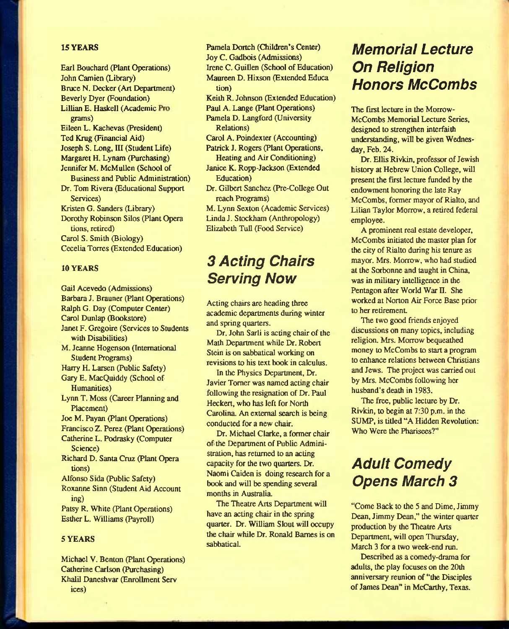### **15 YEARS**

Earl Bouchard (Plant Operations) John Camien (Library) Bruce N. Decker (Art Department) Beverly Dyer (Foundation) Lillian E. Haskell (Academic grams) Eileen L. Kachevas (President) Ted Knig (Financial Aid) Joseph S. Long, III (Student Life) Margaret H. Lynam (Purchasing) Jennifer M. McMullen (School of Business and Public Administration) Dr. Tom Rivera (Educational Support Services) Kristen G. Sanders (Library) Dorothy Robinson Silos (Plant Opera tions, retired) Carol S. Smith (Biology) Cecelia Torres (Extended Education)

### 10 YEARS

Gail Acevedo (Admissions) Barbara J. Brauner (Plant Operations) Ralph G. Day (Computer Center) Carol Dunlap (Bookstore) Janet F. Gregoire (Services to Students with Disabilities) M. Jeanne Hogenson (International Student Programs) Harry H. Larsen (Public Safety) Gary E. MacQuiddy (School of Humanities) Lynn T. Moss (Career Planning and Placement) Joe M. Payan (Plant Operations) Francisco Z. Perez (Plant Operations) Catherine L. Podrasky (Computer Science) Richard D. Santa Cruz (Plant Opera tions) Alfonso Sida (Public Safety) Roxanne Sinn (Student Aid Account ing) Patsy R. White (Plant Operations) Esther L. Williams (Payroll)

### 5 YEARS

Michael V. Benton (Plant Operations) Catherine Carlson (Purchasing) Khalil Daneshvar (Enrollment Serv ices)

i4

Pamela Dortch (Children's Center) Joy C. Gadbois (Admissions) Irene C. Guillen (School of Education) Maureen D. Hixson (Extended Educa tion) Keith R. Johnson (Extended Education) Paul A. Lange (Plant Operations) Pamela D. Langford (University Relations) Carol A. Poindexter (Accounting) Patrick J. Rogers (Plant Operations, Heating and Air Conditioning) Janice K. Ropp-Jackson (Extended Education) Dr. Gilbert Sanchez (Pre-College Out reach Programs) M. Lynn Sexton (Academic Services) Linda J. Stockham (Anthropology)

# *3 Acting Chairs Serving Now*

Elizabeth Tull (Food Service)

Acting chairs are heading three academic departments during winter and spring quarters.

Dr. John Sarli is acting chair of the Math Department while Dr. Robert Stein is on sabbatical working on revisions to his text book in calculus.

In the Rtysics Department, Dr. Javier Tomer was named acting chair following the resignation of Dr. Paul Heckert, who has left for North Carolina. An external search is being conducted for a new chair.

Dr. Michael Clarke, a former chair of the Department of Public Administration, has returned to an acting capacity for the two quarters. Dr. Naomi Caiden is doing research for a book and will be spending several months in Australia.

The Theatre Arts Department will have an acting chair in the spring quarter. Dr. William Slout will occupy the chair while Dr. Ronald Barnes is on sabbatical.

# *Memorial Lecture On Religion Honors McCombs*

The first lecture in the Morrow-McCombs Memorial Lecture Series, designed to strengthen interfaith understanding, will be given Wednesday, Feb. 24.

Dr. Ellis Rivkin, professor of Jewish history at Hebrew Union College, will present the first lecture funded by the endowment honoring the late Ray McCombs, former mayor of Rialto, and Lilian Taylor Morrow, a retired federal employee.

A prominent real estate developer, McCombs initiated the master plan for the city of Rialto during his tenure as mayor. Mrs. Morrow, who had studied at the Scvbonne and taught in China, was in military intelligence in the Pentagon after World War  $\Pi$ . She worked at Norton Air Force Base prior to her retirement

The two good friends enjoyed discussions on many topics, including religion. Mrs. Morrow bequeathed money to McCombs to start a program to enhance relations between Christians and Jews. The project was carried out by Mrs. McCombs following her husband's death in 1983.

The free, public lecture by Dr. Rivkin, to begin at 7:30 p.m. in the SUMP, is titled "A Hidden Revolution: Who Were the Pharisees?"

# *Adult Comedy Opens March 3*

"Come Back to the 5 and Dime, Jimmy Dean, Jimmy Dean," the winter quarter production by the Theatre Arts Department, will open Thursday, March 3 for a two week-end run.

Described as a comedy-drama for adults, the play focuses on the 20ih anniversary reunion of "the Disciples of James Dean" in McCarthy, Texas.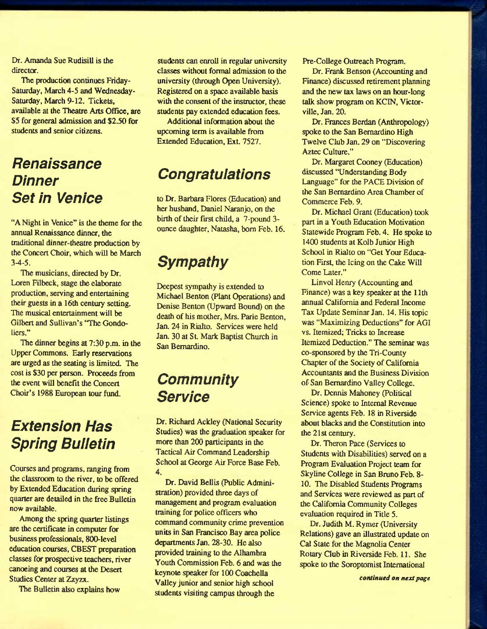Dr. Amanda Sue Rudisill is the director.

The production continues Friday-Saturday, March 4-5 and Wednesday-Saturday, March 9-12. Tickets, available at the Theatre Arts Office, are \$5 for general admission and \$2.50 for students and senior citizens.

## *Renaissance Dinner Set in Venice*

"A Night in Venice" is the theme for the annual Renaissance dinner, the traditional dinner-theatre production by the Concert Choir, which will be March 3-4-5.

The musicians, directed by Dr. Loren Filbeck, stage the elaborate producticm, serving and entertaining their guests in a 16th century setting. The musical entertainment will be Gilbert and Sullivan's 'The Gondoliers."

The dinner begins at 7:30 p.m. in the Upper Commons. Early reservations are urged as the seating is limited. The cost is \$30 per person. Proceeds from the event will benefit the Concert Choir's 1988 European tour fimd.

# *Extension Has*  **Spring Bulletin**

Courses and programs, ranging from the classroom to the river, to be offered by Extended Education during spring quarter are detailed in the free Bulletin now available.

Among the spring quarter listings are the certificate in computer for business professionals, 800-level education courses, CBEST preparation classes for prospective teachers, river canoeing and courses at the Desert Studies Center at Zzyzx.

The Bulletin also explains how

students can enroll in regular university classes without formal admission to the university (through Open University). Registered on a space available basis with the consent of the instructor, these students pay extended education fees.

Additional information about the upcoming term is available from Extended Education, Ext. 7527.

# *Congratuiations*

to Dr. Barbara Flores (Education) and her husband, Daniel Naranjo, on the birth of their first child, a 7-pound 3ounce daughter, Natasha, bom Feb. 16.

# *Sympathy*

Deepest sympathy is extended to Michael Benton (Plant Operations) and Denise Benton (Upward Bound) on the death of his mother, Mrs. Parie Benton, Jan. 24 in Rialto. Services were held Jan. 30 at St. Mark Baptist Church in San Bernardino.

## *Community Service*

Dr. Richard Ackley (National Security Studies) was the graduation speaker for more than 200 participants in the Tactical Air Command Leadership School at George Air Force Base Feb. 4.

Dr. David Bellis (Public Administration) provided three days of management and program evaluation training for police officers who command community crime prevention units in San Francisco Bay area police departments Jan. 28-30. He also provided training to the Alhambra Youth Commission Feb. 6 and was the keynote speaker for 100 Coachella Valley junior and senior high school students visiting campus through the

Pre-College Outreach Program.

Dr. Frank Benson (Accounting and Finance) discussed retirement planning and the new tax laws on an hour-long talk show program on KCIN, Victorville, Jan. 20.

Dr. Frances Berdan (Anthropology) spoke to the San Bernardino High Twelve Club Jan. 29 on "Discovering Aztec Culture."

Dr. Margaret Cooney (Education) discussed "Understanding Body Language" for the PACE Division of the San Bernardino Area Chamber of Commerce Feb. 9.

Dr. Michael Grant (Education) took part in a Youth Education Motivation Statewide Program Feb. 4. He spoke to 1400 students at Kolb Junior High School in Rialto on "Get Your Education First, the Icing on the Cake Will Come Later."

Linvol Henry (Accounting and Finance) was a key speaker at the 11th annual Califomia and Federal Income Tax Update Seminar Jan. 14. His topic was "Maximizing Deductions" for AGI vs. Itemized; Tricks to Increase Itemized Deduction." The seminar was co-sponsored by the Tri-County Chapter of the Society of Califomia Accountants and the Business Division of San Bernardino Valley College.

Dr. Dennis Mahoney (Political Science) spoke to Internal Revenue Service agents Feb. 18 in Riverside about blacks and the Constitution into the 21st century.

Dr. Theron Pace (Services to Students with Disabilities) served on a Program Evaluation Project team for Skyline College in San Bruno Feb. 8- 10. The Disabled Students Programs and Services were reviewed as part of the Califomia Community Colleges evaluation required in Title 5.

Dr. Judith M. Rymer (University Relations) gave an illustrated update on Cal State for the Magnolia Center Rotary Qub in Riverside Feb. 11. She spoke to the Soroptomist International

*continued on next page*